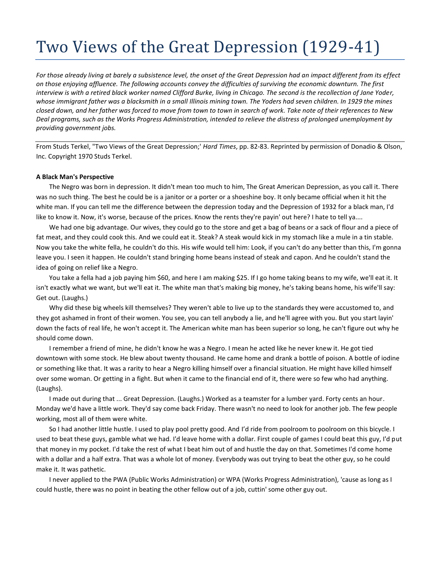## Two Views of the Great Depression (1929-41)

*For those already living at barely a subsistence level, the onset of the Great Depression had an impact different from its effect on those enjoying affluence. The following accounts convey the difficulties of surviving the economic downturn. The first interview is with a retired black worker named Clifford Burke, living in Chicago. The second is the recollection of Jane Yoder, whose immigrant father was a blacksmith in a small Illinois mining town. The Yoders had seven children. In 1929 the mines closed down, and her father was forced to move from town to town in search of work. Take note of their references to New Deal programs, such as the Works Progress Administration, intended to relieve the distress of prolonged unemployment by providing government jobs.* 

From Studs Terkel, "Two Views of the Great Depression;' *Hard Times*, pp. 82-83. Reprinted by permission of Donadio & Olson, Inc. Copyright 1970 Studs Terkel.

## **A Black Man's Perspective**

The Negro was born in depression. It didn't mean too much to him, The Great American Depression, as you call it. There was no such thing. The best he could be is a janitor or a porter or a shoeshine boy. It only became official when it hit the white man. If you can tell me the difference between the depression today and the Depression of 1932 for a black man, I'd like to know it. Now, it's worse, because of the prices. Know the rents they're payin' out here? I hate to tell ya....

We had one big advantage. Our wives, they could go to the store and get a bag of beans or a sack of flour and a piece of fat meat, and they could cook this. And we could eat it. Steak? A steak would kick in my stomach like a mule in a tin stable. Now you take the white fella, he couldn't do this. His wife would tell him: Look, if you can't do any better than this, I'm gonna leave you. I seen it happen. He couldn't stand bringing home beans instead of steak and capon. And he couldn't stand the idea of going on relief like a Negro.

You take a fella had a job paying him \$60, and here I am making \$25. If I go home taking beans to my wife, we'll eat it. It isn't exactly what we want, but we'll eat it. The white man that's making big money, he's taking beans home, his wife'll say: Get out. (Laughs.)

Why did these big wheels kill themselves? They weren't able to live up to the standards they were accustomed to, and they got ashamed in front of their women. You see, you can tell anybody a lie, and he'll agree with you. But you start layin' down the facts of real life, he won't accept it. The American white man has been superior so long, he can't figure out why he should come down.

I remember a friend of mine, he didn't know he was a Negro. I mean he acted like he never knew it. He got tied downtown with some stock. He blew about twenty thousand. He came home and drank a bottle of poison. A bottle of iodine or something like that. It was a rarity to hear a Negro killing himself over a financial situation. He might have killed himself over some woman. Or getting in a fight. But when it came to the financial end of it, there were so few who had anything. (Laughs).

I made out during that ... Great Depression. (Laughs.) Worked as a teamster for a lumber yard. Forty cents an hour. Monday we'd have a little work. They'd say come back Friday. There wasn't no need to look for another job. The few people working, most all of them were white.

So I had another little hustle. I used to play pool pretty good. And I'd ride from poolroom to poolroom on this bicycle. I used to beat these guys, gamble what we had. I'd leave home with a dollar. First couple of games I could beat this guy, I'd put that money in my pocket. I'd take the rest of what I beat him out of and hustle the day on that. Sometimes I'd come home with a dollar and a half extra. That was a whole lot of money. Everybody was out trying to beat the other guy, so he could make it. It was pathetic.

I never applied to the PWA (Public Works Administration) or WPA (Works Progress Administration), 'cause as long as I could hustle, there was no point in beating the other fellow out of a job, cuttin' some other guy out.